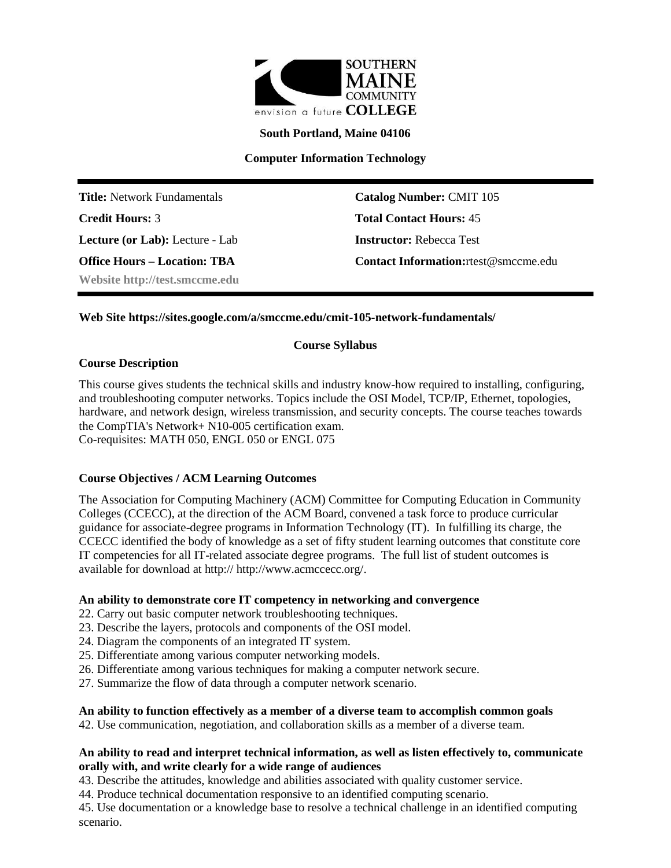

**South Portland, Maine 04106**

**Computer Information Technology**

**Title:** Network Fundamentals **Catalog Number:** CMIT 105 **Credit Hours:** 3 **Total Contact Hours:** 45 **Lecture (or Lab):** Lecture - Lab **Instructor:** Rebecca Test **Website http://test.smccme.edu**

**Office Hours – Location: TBA Contact Information:**rtest@smccme.edu

# **Web Site https://sites.google.com/a/smccme.edu/cmit-105-network-fundamentals/**

### **Course Syllabus**

#### **Course Description**

This course gives students the technical skills and industry know-how required to installing, configuring, and troubleshooting computer networks. Topics include the OSI Model, TCP/IP, Ethernet, topologies, hardware, and network design, wireless transmission, and security concepts. The course teaches towards the CompTIA's Network+ N10-005 certification exam.

Co-requisites: MATH 050, ENGL 050 or ENGL 075

# **Course Objectives / ACM Learning Outcomes**

The Association for Computing Machinery (ACM) Committee for Computing Education in Community Colleges (CCECC), at the direction of the ACM Board, convened a task force to produce curricular guidance for associate-degree programs in Information Technology (IT). In fulfilling its charge, the CCECC identified the body of knowledge as a set of fifty student learning outcomes that constitute core IT competencies for all IT-related associate degree programs. The full list of student outcomes is available for download at http:// http://www.acmccecc.org/.

#### **An ability to demonstrate core IT competency in networking and convergence**

- 22. Carry out basic computer network troubleshooting techniques.
- 23. Describe the layers, protocols and components of the OSI model.
- 24. Diagram the components of an integrated IT system.
- 25. Differentiate among various computer networking models.
- 26. Differentiate among various techniques for making a computer network secure.
- 27. Summarize the flow of data through a computer network scenario.

### **An ability to function effectively as a member of a diverse team to accomplish common goals**

42. Use communication, negotiation, and collaboration skills as a member of a diverse team.

### **An ability to read and interpret technical information, as well as listen effectively to, communicate orally with, and write clearly for a wide range of audiences**

43. Describe the attitudes, knowledge and abilities associated with quality customer service.

44. Produce technical documentation responsive to an identified computing scenario.

45. Use documentation or a knowledge base to resolve a technical challenge in an identified computing scenario.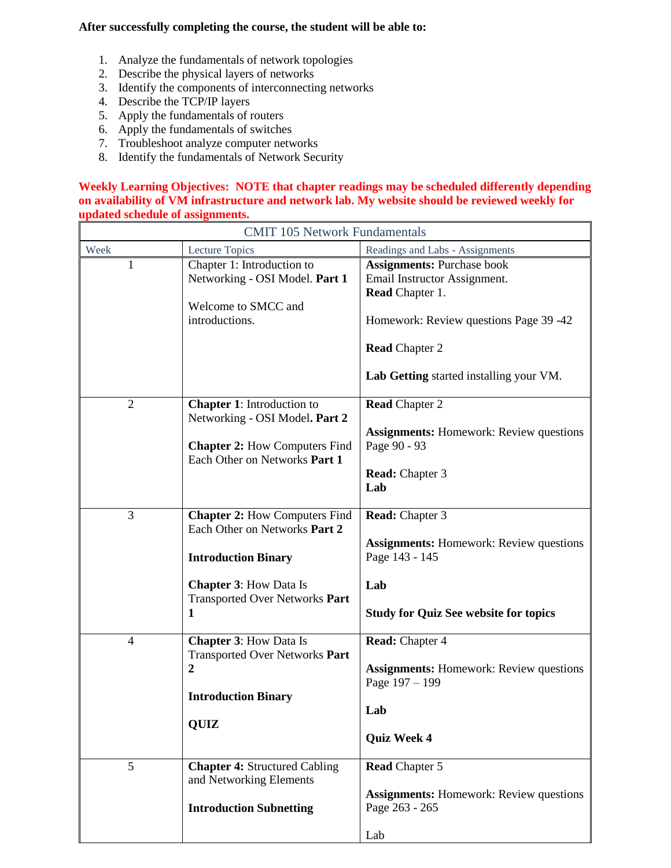# **After successfully completing the course, the student will be able to:**

- 1. Analyze the fundamentals of network topologies
- 2. Describe the physical layers of networks
- 3. Identify the components of interconnecting networks
- 4. Describe the TCP/IP layers
- 5. Apply the fundamentals of routers
- 6. Apply the fundamentals of switches
- 7. Troubleshoot analyze computer networks
- 8. Identify the fundamentals of Network Security

#### **Weekly Learning Objectives: NOTE that chapter readings may be scheduled differently depending on availability of VM infrastructure and network lab. My website should be reviewed weekly for updated schedule of assignments.**

| <b>CMIT 105 Network Fundamentals</b> |                                                                                                                                                                                    |                                                                                                                                                   |  |  |  |
|--------------------------------------|------------------------------------------------------------------------------------------------------------------------------------------------------------------------------------|---------------------------------------------------------------------------------------------------------------------------------------------------|--|--|--|
| Week                                 | Lecture Topics                                                                                                                                                                     | Readings and Labs - Assignments                                                                                                                   |  |  |  |
| 1                                    | Chapter 1: Introduction to<br>Networking - OSI Model. Part 1<br>Welcome to SMCC and<br>introductions.                                                                              | <b>Assignments: Purchase book</b><br>Email Instructor Assignment.<br>Read Chapter 1.<br>Homework: Review questions Page 39 -42                    |  |  |  |
|                                      |                                                                                                                                                                                    | <b>Read Chapter 2</b><br>Lab Getting started installing your VM.                                                                                  |  |  |  |
| $\overline{2}$                       | <b>Chapter 1:</b> Introduction to<br>Networking - OSI Model. Part 2<br><b>Chapter 2: How Computers Find</b><br>Each Other on Networks Part 1                                       | <b>Read Chapter 2</b><br><b>Assignments:</b> Homework: Review questions<br>Page 90 - 93<br><b>Read:</b> Chapter 3<br>Lab                          |  |  |  |
| 3                                    | <b>Chapter 2:</b> How Computers Find<br>Each Other on Networks Part 2<br><b>Introduction Binary</b><br><b>Chapter 3: How Data Is</b><br><b>Transported Over Networks Part</b><br>1 | <b>Read:</b> Chapter 3<br><b>Assignments:</b> Homework: Review questions<br>Page 143 - 145<br>Lab<br><b>Study for Quiz See website for topics</b> |  |  |  |
| $\overline{4}$                       | <b>Chapter 3: How Data Is</b><br><b>Transported Over Networks Part</b><br>$\boldsymbol{2}$<br><b>Introduction Binary</b><br><b>QUIZ</b>                                            | <b>Read:</b> Chapter 4<br><b>Assignments:</b> Homework: Review questions<br>Page $197 - 199$<br>Lab<br><b>Quiz Week 4</b>                         |  |  |  |
| 5                                    | <b>Chapter 4: Structured Cabling</b><br>and Networking Elements<br><b>Introduction Subnetting</b>                                                                                  | <b>Read Chapter 5</b><br><b>Assignments:</b> Homework: Review questions<br>Page 263 - 265<br>Lab                                                  |  |  |  |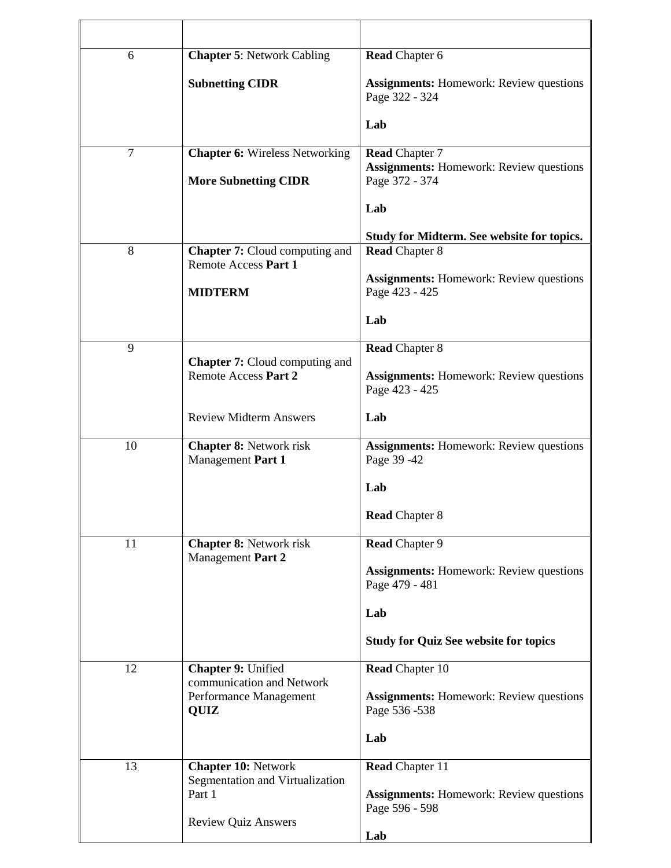| 6      | <b>Chapter 5: Network Cabling</b>                             | <b>Read Chapter 6</b>                                                   |  |
|--------|---------------------------------------------------------------|-------------------------------------------------------------------------|--|
|        | <b>Subnetting CIDR</b>                                        | <b>Assignments:</b> Homework: Review questions<br>Page 322 - 324        |  |
|        |                                                               | Lab                                                                     |  |
| $\tau$ | <b>Chapter 6: Wireless Networking</b>                         | <b>Read Chapter 7</b><br><b>Assignments:</b> Homework: Review questions |  |
|        | <b>More Subnetting CIDR</b>                                   | Page 372 - 374                                                          |  |
|        |                                                               | Lab                                                                     |  |
| 8      | <b>Chapter 7:</b> Cloud computing and<br>Remote Access Part 1 | Study for Midterm. See website for topics.<br><b>Read Chapter 8</b>     |  |
|        | <b>MIDTERM</b>                                                | <b>Assignments:</b> Homework: Review questions<br>Page 423 - 425        |  |
|        |                                                               | Lab                                                                     |  |
| 9      |                                                               | <b>Read Chapter 8</b>                                                   |  |
|        | <b>Chapter 7:</b> Cloud computing and<br>Remote Access Part 2 | <b>Assignments:</b> Homework: Review questions<br>Page 423 - 425        |  |
|        | <b>Review Midterm Answers</b>                                 | Lab                                                                     |  |
| 10     | <b>Chapter 8: Network risk</b><br>Management Part 1           | <b>Assignments:</b> Homework: Review questions<br>Page 39 - 42          |  |
|        |                                                               | Lab                                                                     |  |
|        |                                                               | <b>Read Chapter 8</b>                                                   |  |
| 11     | <b>Chapter 8: Network risk</b><br>Management Part 2           | Read Chapter 9                                                          |  |
|        |                                                               | <b>Assignments:</b> Homework: Review questions<br>Page 479 - 481        |  |
|        |                                                               | Lab                                                                     |  |
|        |                                                               | <b>Study for Quiz See website for topics</b>                            |  |
| 12     | Chapter 9: Unified<br>communication and Network               | <b>Read Chapter 10</b>                                                  |  |
|        | Performance Management<br><b>QUIZ</b>                         | <b>Assignments:</b> Homework: Review questions<br>Page 536 - 538        |  |
|        |                                                               | Lab                                                                     |  |
| 13     | <b>Chapter 10: Network</b><br>Segmentation and Virtualization | <b>Read Chapter 11</b>                                                  |  |
|        | Part 1                                                        | <b>Assignments:</b> Homework: Review questions<br>Page 596 - 598        |  |
|        | <b>Review Quiz Answers</b>                                    | Lab                                                                     |  |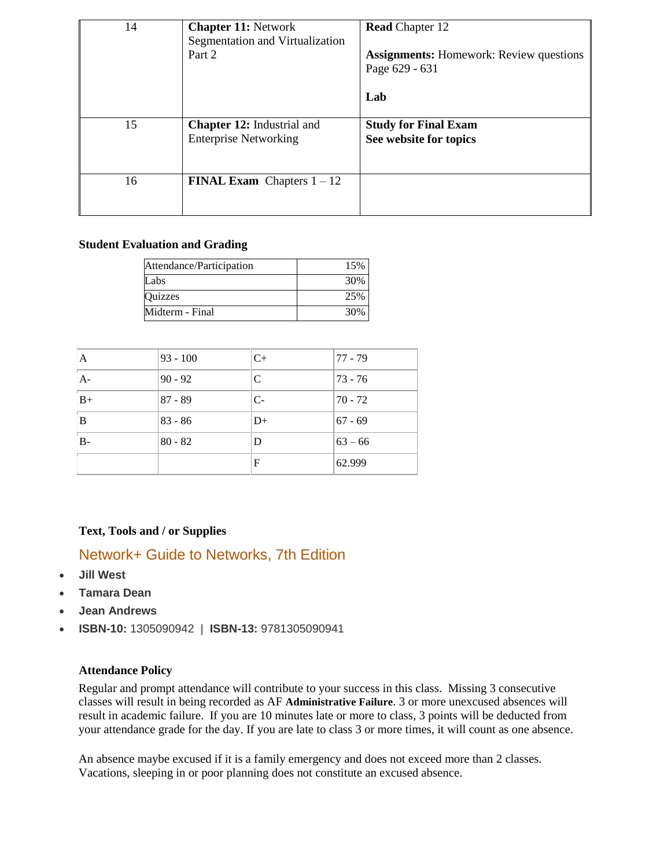| 14 | <b>Chapter 11: Network</b><br>Segmentation and Virtualization<br>Part 2 | <b>Read Chapter 12</b><br><b>Assignments:</b> Homework: Review questions<br>Page 629 - 631<br>Lab |
|----|-------------------------------------------------------------------------|---------------------------------------------------------------------------------------------------|
| 15 | <b>Chapter 12:</b> Industrial and<br><b>Enterprise Networking</b>       | <b>Study for Final Exam</b><br>See website for topics                                             |
| 16 | <b>FINAL Exam</b> Chapters $1 - 12$                                     |                                                                                                   |

# **Student Evaluation and Grading**

| Attendance/Participation | 15% |
|--------------------------|-----|
| Labs                     | 30% |
| Quizzes                  | 25% |
| Midterm - Final          | 30% |

| $\mathbf{A}$ | $93 - 100$ | $C+$ | 77 - 79     |
|--------------|------------|------|-------------|
| $A-$         | $90 - 92$  | C    | $ 73 - 76 $ |
| $B+$         | $87 - 89$  | $C-$ | 170 - 72    |
| B            | $83 - 86$  | $D+$ | $67 - 69$   |
| $B -$        | $80 - 82$  | D    | $ 63 - 66 $ |
|              |            | F    | 62.999      |

# **Text, Tools and / or Supplies**

# Network+ Guide to Networks, 7th Edition

- **Jill West**
- **Tamara Dean**
- **Jean Andrews**
- **ISBN-10:** 1305090942 | **ISBN-13:** 9781305090941

### **Attendance Policy**

Regular and prompt attendance will contribute to your success in this class. Missing 3 consecutive classes will result in being recorded as AF **Administrative Failure**. 3 or more unexcused absences will result in academic failure. If you are 10 minutes late or more to class, 3 points will be deducted from your attendance grade for the day. If you are late to class 3 or more times, it will count as one absence.

An absence maybe excused if it is a family emergency and does not exceed more than 2 classes. Vacations, sleeping in or poor planning does not constitute an excused absence.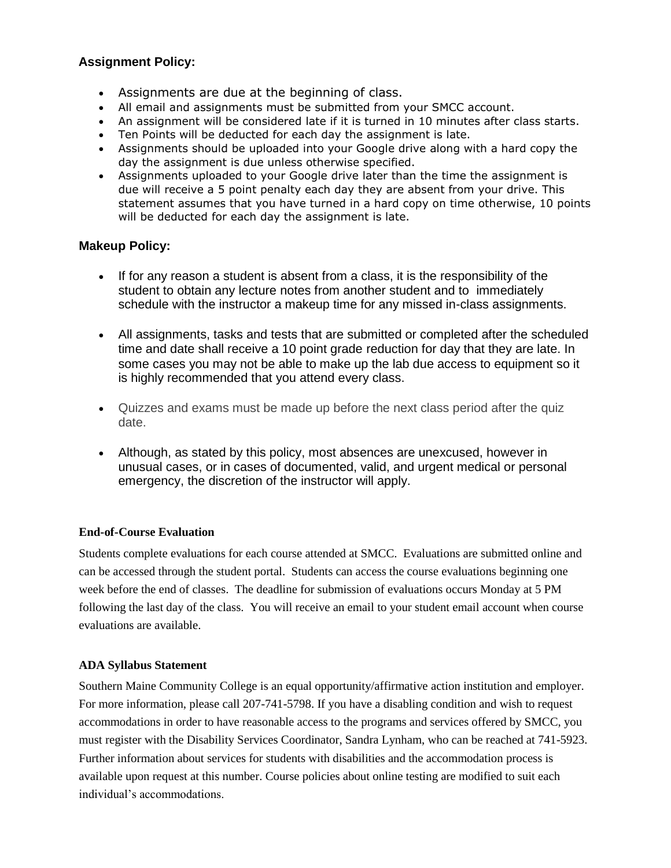# **Assignment Policy:**

- Assignments are due at the beginning of class.
- All email and assignments must be submitted from your SMCC account.
- An assignment will be considered late if it is turned in 10 minutes after class starts.
- Ten Points will be deducted for each day the assignment is late.
- Assignments should be uploaded into your Google drive along with a hard copy the day the assignment is due unless otherwise specified.
- Assignments uploaded to your Google drive later than the time the assignment is due will receive a 5 point penalty each day they are absent from your drive. This statement assumes that you have turned in a hard copy on time otherwise, 10 points will be deducted for each day the assignment is late.

# **Makeup Policy:**

- If for any reason a student is absent from a class, it is the responsibility of the student to obtain any lecture notes from another student and to immediately schedule with the instructor a makeup time for any missed in-class assignments.
- All assignments, tasks and tests that are submitted or completed after the scheduled time and date shall receive a 10 point grade reduction for day that they are late. In some cases you may not be able to make up the lab due access to equipment so it is highly recommended that you attend every class.
- Quizzes and exams must be made up before the next class period after the quiz date.
- Although, as stated by this policy, most absences are unexcused, however in unusual cases, or in cases of documented, valid, and urgent medical or personal emergency, the discretion of the instructor will apply.

# **End-of-Course Evaluation**

Students complete evaluations for each course attended at SMCC. Evaluations are submitted online and can be accessed through the student portal. Students can access the course evaluations beginning one week before the end of classes. The deadline for submission of evaluations occurs Monday at 5 PM following the last day of the class. You will receive an email to your student email account when course evaluations are available.

### **ADA Syllabus Statement**

Southern Maine Community College is an equal opportunity/affirmative action institution and employer. For more information, please call 207-741-5798. If you have a disabling condition and wish to request accommodations in order to have reasonable access to the programs and services offered by SMCC, you must register with the Disability Services Coordinator, Sandra Lynham, who can be reached at 741-5923. Further information about services for students with disabilities and the accommodation process is available upon request at this number. Course policies about online testing are modified to suit each individual's accommodations.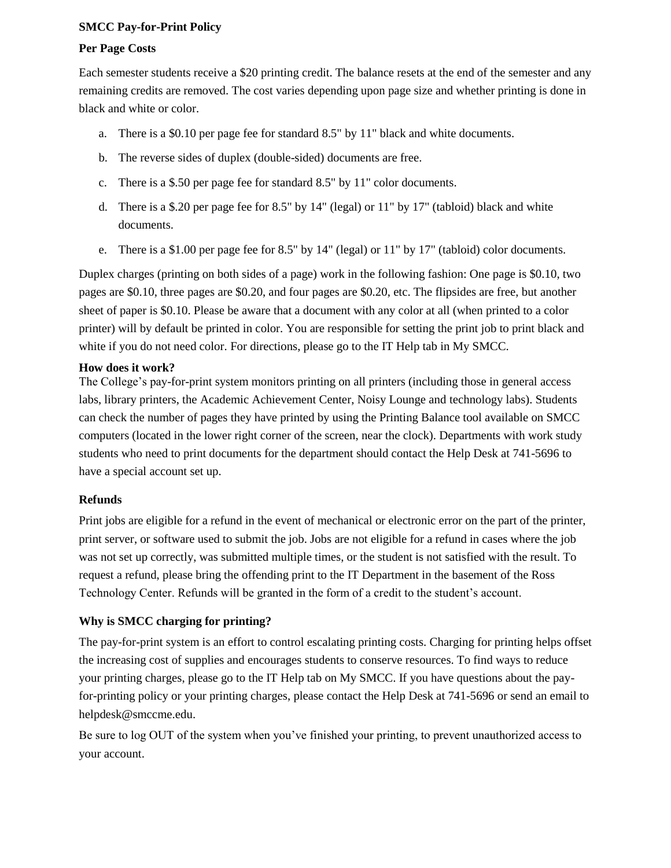# **SMCC Pay-for-Print Policy**

## **Per Page Costs**

Each semester students receive a \$20 printing credit. The balance resets at the end of the semester and any remaining credits are removed. The cost varies depending upon page size and whether printing is done in black and white or color.

- a. There is a \$0.10 per page fee for standard 8.5" by 11" black and white documents.
- b. The reverse sides of duplex (double-sided) documents are free.
- c. There is a \$.50 per page fee for standard 8.5" by 11" color documents.
- d. There is a \$.20 per page fee for 8.5" by 14" (legal) or 11" by 17" (tabloid) black and white documents.
- e. There is a \$1.00 per page fee for 8.5" by 14" (legal) or 11" by 17" (tabloid) color documents.

Duplex charges (printing on both sides of a page) work in the following fashion: One page is \$0.10, two pages are \$0.10, three pages are \$0.20, and four pages are \$0.20, etc. The flipsides are free, but another sheet of paper is \$0.10. Please be aware that a document with any color at all (when printed to a color printer) will by default be printed in color. You are responsible for setting the print job to print black and white if you do not need color. For directions, please go to the IT Help tab in My SMCC.

# **How does it work?**

The College's pay-for-print system monitors printing on all printers (including those in general access labs, library printers, the Academic Achievement Center, Noisy Lounge and technology labs). Students can check the number of pages they have printed by using the Printing Balance tool available on SMCC computers (located in the lower right corner of the screen, near the clock). Departments with work study students who need to print documents for the department should contact the Help Desk at 741-5696 to have a special account set up.

### **Refunds**

Print jobs are eligible for a refund in the event of mechanical or electronic error on the part of the printer, print server, or software used to submit the job. Jobs are not eligible for a refund in cases where the job was not set up correctly, was submitted multiple times, or the student is not satisfied with the result. To request a refund, please bring the offending print to the IT Department in the basement of the Ross Technology Center. Refunds will be granted in the form of a credit to the student's account.

# **Why is SMCC charging for printing?**

The pay-for-print system is an effort to control escalating printing costs. Charging for printing helps offset the increasing cost of supplies and encourages students to conserve resources. To find ways to reduce your printing charges, please go to the IT Help tab on My SMCC. If you have questions about the payfor-printing policy or your printing charges, please contact the Help Desk at 741-5696 or send an email to helpdesk@smccme.edu.

Be sure to log OUT of the system when you've finished your printing, to prevent unauthorized access to your account.